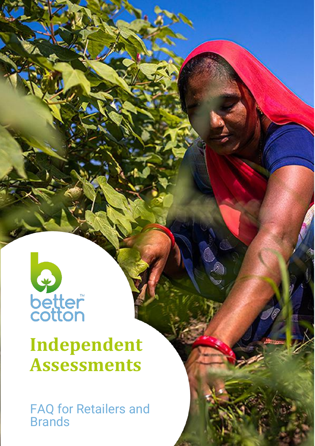

## **Independent Assessments**

**Prand** FAQ for Retailers and Brands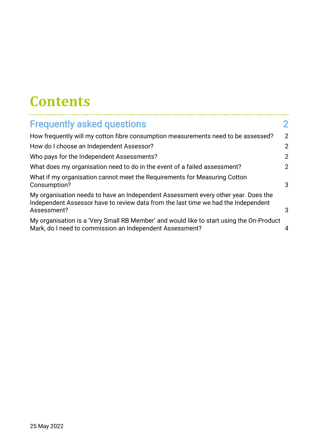### **Contents**

| <b>Frequently asked questions</b>                                                                                                                                                       |   |
|-----------------------------------------------------------------------------------------------------------------------------------------------------------------------------------------|---|
| How frequently will my cotton fibre consumption measurements need to be assessed?                                                                                                       | 2 |
| How do I choose an Independent Assessor?                                                                                                                                                | 2 |
| Who pays for the Independent Assessments?                                                                                                                                               | 2 |
| What does my organisation need to do in the event of a failed assessment?                                                                                                               |   |
| What if my organisation cannot meet the Requirements for Measuring Cotton<br>Consumption?                                                                                               | 3 |
| My organisation needs to have an Independent Assessment every other year. Does the<br>Independent Assessor have to review data from the last time we had the Independent<br>Assessment? | 3 |
| My organisation is a 'Very Small RB Member' and would like to start using the On-Product<br>Mark, do I need to commission an Independent Assessment?                                    | 4 |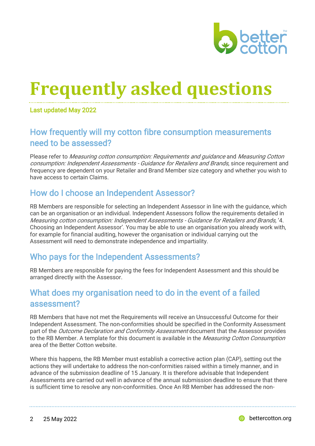

# <span id="page-2-0"></span>**Frequently asked questions**

Last updated May 2022

#### <span id="page-2-1"></span>How frequently will my cotton fibre consumption measurements need to be assessed?

Please refer to Measuring cotton consumption: Requirements and guidance and Measuring Cotton consumption: Independent Assessments - Guidance for Retailers and Brands, since requirement and frequency are dependent on your Retailer and Brand Member size category and whether you wish to have access to certain Claims.

#### <span id="page-2-2"></span>How do I choose an Independent Assessor?

RB Members are responsible for selecting an Independent Assessor in line with the guidance, which can be an organisation or an individual. Independent Assessors follow the requirements detailed in Measuring cotton consumption: Independent Assessments - Guidance for Retailers and Brands, '4. Choosing an Independent Assessor'. You may be able to use an organisation you already work with, for example for financial auditing, however the organisation or individual carrying out the Assessment will need to demonstrate independence and impartiality.

#### <span id="page-2-3"></span>Who pays for the Independent Assessments?

RB Members are responsible for paying the fees for Independent Assessment and this should be arranged directly with the Assessor.

#### <span id="page-2-4"></span>What does my organisation need to do in the event of a failed assessment?

RB Members that have not met the Requirements will receive an Unsuccessful Outcome for their Independent Assessment. The non-conformities should be specified in the Conformity Assessment part of the *Outcome Declaration and Conformity Assessment* document that the Assessor provides to the RB Member. A template for this document is available in the Measuring Cotton Consumption area of the Better Cotton website.

Where this happens, the RB Member must establish a corrective action plan (CAP), setting out the actions they will undertake to address the non-conformities raised within a timely manner, and in advance of the submission deadline of 15 January. It is therefore advisable that Independent Assessments are carried out well in advance of the annual submission deadline to ensure that there is sufficient time to resolve any non-conformities. Once An RB Member has addressed the non-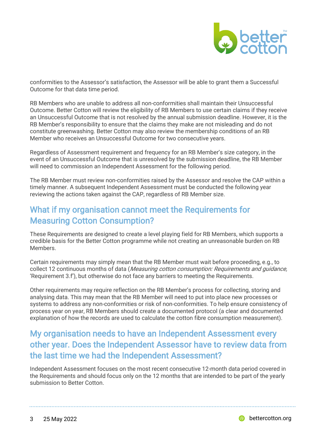

conformities to the Assessor's satisfaction, the Assessor will be able to grant them a Successful Outcome for that data time period.

RB Members who are unable to address all non-conformities shall maintain their Unsuccessful Outcome. Better Cotton will review the eligibility of RB Members to use certain claims if they receive an Unsuccessful Outcome that is not resolved by the annual submission deadline. However, it is the RB Member's responsibility to ensure that the claims they make are not misleading and do not constitute greenwashing. Better Cotton may also review the membership conditions of an RB Member who receives an Unsuccessful Outcome for two consecutive years.

Regardless of Assessment requirement and frequency for an RB Member's size category, in the event of an Unsuccessful Outcome that is unresolved by the submission deadline, the RB Member will need to commission an Independent Assessment for the following period.

The RB Member must review non-conformities raised by the Assessor and resolve the CAP within a timely manner. A subsequent Independent Assessment must be conducted the following year reviewing the actions taken against the CAP, regardless of RB Member size.

#### <span id="page-3-0"></span>What if my organisation cannot meet the Requirements for Measuring Cotton Consumption?

These Requirements are designed to create a level playing field for RB Members, which supports a credible basis for the Better Cotton programme while not creating an unreasonable burden on RB **Members** 

Certain requirements may simply mean that the RB Member must wait before proceeding, e.g., to collect 12 continuous months of data (Measuring cotton consumption: Requirements and quidance, 'Requirement 3.f'), but otherwise do not face any barriers to meeting the Requirements.

Other requirements may require reflection on the RB Member's process for collecting, storing and analysing data. This may mean that the RB Member will need to put into place new processes or systems to address any non-conformities or risk of non-conformities. To help ensure consistency of process year on year, RB Members should create a documented protocol (a clear and documented explanation of how the records are used to calculate the cotton fibre consumption measurement).

#### <span id="page-3-1"></span>My organisation needs to have an Independent Assessment every other year. Does the Independent Assessor have to review data from the last time we had the Independent Assessment?

Independent Assessment focuses on the most recent consecutive 12-month data period covered in the Requirements and should focus only on the 12 months that are intended to be part of the yearly submission to Better Cotton.